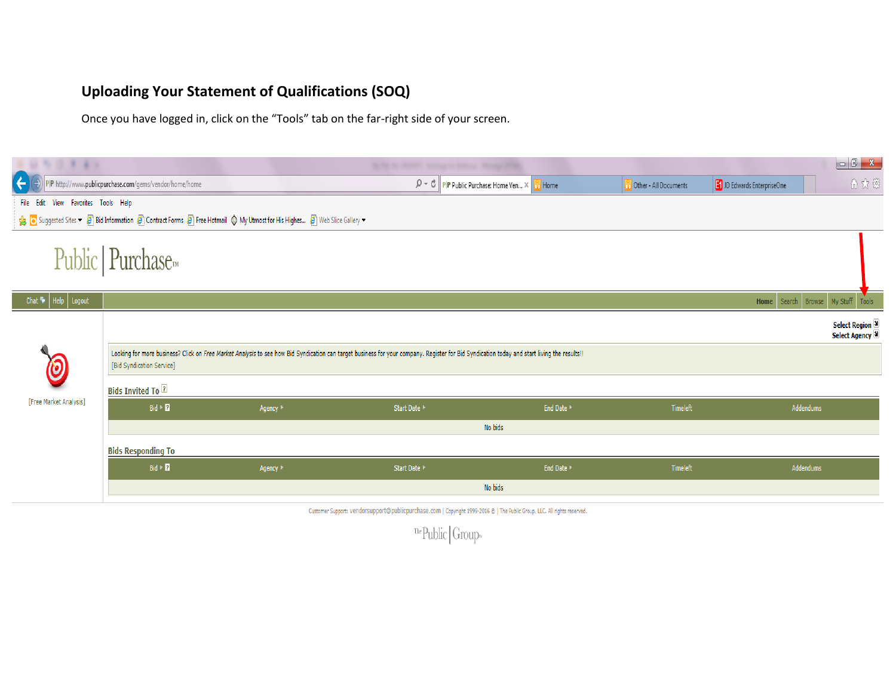## **Uploading Your Statement of Qualifications (SOQ)**

Once you have logged in, click on the "Tools" tab on the far-right side of your screen.

| 行注きます                                  |                                                         |                                                                                                                      | By the the photosy backage to follow a final party of the                                                                                                                                    |            |                                    |                             | $\begin{array}{c c c c c} \hline \multicolumn{3}{ c }{-} & \multicolumn{3}{ c }{x} \end{array}$ |  |  |  |
|----------------------------------------|---------------------------------------------------------|----------------------------------------------------------------------------------------------------------------------|----------------------------------------------------------------------------------------------------------------------------------------------------------------------------------------------|------------|------------------------------------|-----------------------------|-------------------------------------------------------------------------------------------------|--|--|--|
| $(\div)$                               | P P http://www.publicpurchase.com/gems/vendor/home/home |                                                                                                                      | $\mathcal{P} \times \mathcal{O}$ P P Public Purchase: Home Ven $\times$                                                                                                                      | Home       | <sup>9</sup> Other - All Documents | JD Edwards EnterpriseOne    | 分众                                                                                              |  |  |  |
| View Favorites Tools Help<br>File Edit |                                                         |                                                                                                                      |                                                                                                                                                                                              |            |                                    |                             |                                                                                                 |  |  |  |
|                                        |                                                         | Suggested Sites v 8 Bid Information 8 Contract Forms 8 Free Hotmail 1 My Utmost for His Highes 8 Web Slice Gallery v |                                                                                                                                                                                              |            |                                    |                             |                                                                                                 |  |  |  |
|                                        | Public   Purchase <sub>m</sub>                          |                                                                                                                      |                                                                                                                                                                                              |            |                                    |                             |                                                                                                 |  |  |  |
| Chat $\bullet$   Help   Logout         |                                                         |                                                                                                                      |                                                                                                                                                                                              |            |                                    | Home Search Browse My Stuff | Tools                                                                                           |  |  |  |
|                                        |                                                         |                                                                                                                      |                                                                                                                                                                                              |            |                                    |                             | <b>Select Region 3</b><br>Select Agency 보                                                       |  |  |  |
|                                        | [Bid Syndication Service]                               |                                                                                                                      | Looking for more business? Click on Free Market Analysis to see how Bid Syndication can target business for your company. Register for Bid Syndication today and start living the results !! |            |                                    |                             |                                                                                                 |  |  |  |
|                                        | <b>Bids Invited To 2</b>                                |                                                                                                                      |                                                                                                                                                                                              |            |                                    |                             |                                                                                                 |  |  |  |
| [Free Market Analysis]                 | $Bid \geq 7$                                            | Agency <sup>1</sup>                                                                                                  | Start Date ▶                                                                                                                                                                                 | End Date ▶ | Timeleft                           | Addendums                   |                                                                                                 |  |  |  |
|                                        | No bids                                                 |                                                                                                                      |                                                                                                                                                                                              |            |                                    |                             |                                                                                                 |  |  |  |
|                                        | <b>Bids Responding To</b>                               |                                                                                                                      |                                                                                                                                                                                              |            |                                    |                             |                                                                                                 |  |  |  |
|                                        | $Bid \geq 2$                                            | Agency <sup>1</sup>                                                                                                  | Start Date ▶                                                                                                                                                                                 | End Date   | Timeleft                           | Addendums                   |                                                                                                 |  |  |  |
|                                        |                                                         |                                                                                                                      |                                                                                                                                                                                              | No bids    |                                    |                             |                                                                                                 |  |  |  |
|                                        |                                                         |                                                                                                                      | Customer Support: Vendorsupport@publicpurchase.com   Copyright 1999-2016 @   The Public Group, LLC. All rights reserved.                                                                     |            |                                    |                             |                                                                                                 |  |  |  |

 $\sqrt{\text{The}$  Public Group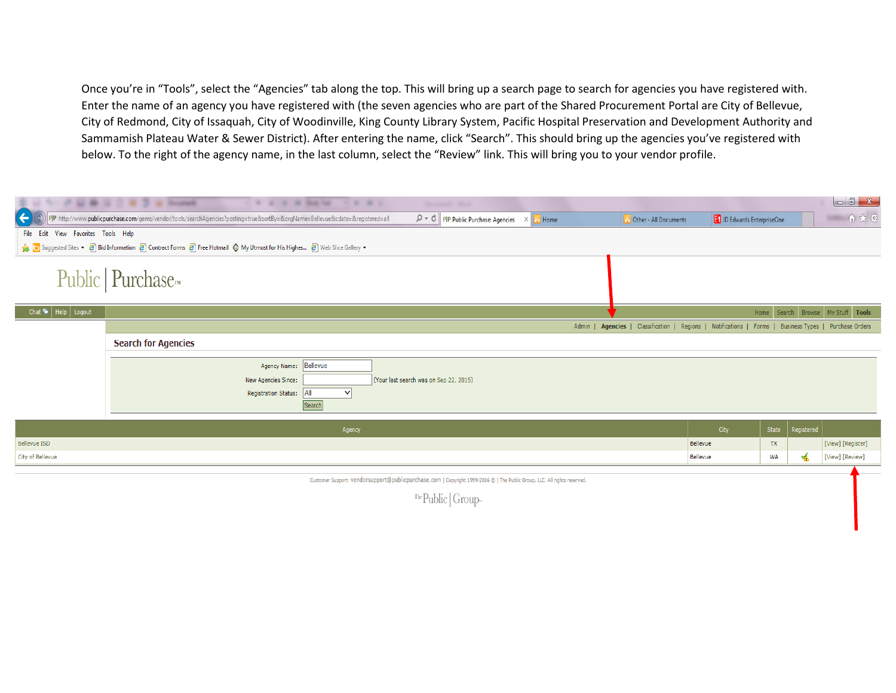Once you're in "Tools", select the "Agencies" tab along the top. This will bring up a search page to search for agencies you have registered with. Enter the name of an agency you have registered with (the seven agencies who are part of the Shared Procurement Portal are City of Bellevue, City of Redmond, City of Issaquah, City of Woodinville, King County Library System, Pacific Hospital Preservation and Development Authority and Sammamish Plateau Water & Sewer District). After entering the name, click "Search". This should bring up the agencies you've registered with below. To the right of the agency name, in the last column, select the "Review" link. This will bring you to your vendor profile.

|                                            | C W 2 is bored<br>٠<br>1 3 4 5 6 5 6 5 6                                                                                       | .                                 | <b>Baronese C. Man</b>                                                                                                   |       |                                                                                                |                          |           |                    | $\begin{array}{ c c c c c } \hline \multicolumn{1}{ c }{\mathbf{C}} & \multicolumn{1}{ c }{\mathbf{X}} \\\hline \end{array}$ |
|--------------------------------------------|--------------------------------------------------------------------------------------------------------------------------------|-----------------------------------|--------------------------------------------------------------------------------------------------------------------------|-------|------------------------------------------------------------------------------------------------|--------------------------|-----------|--------------------|------------------------------------------------------------------------------------------------------------------------------|
| $(\div)$                                   | PIP http://www.publicpurchase.com/gems/vendor/tools/searchAgencies?posting=true&sortBy=&orgName=Bellevue&cdate=&registered=all |                                   | $\mathcal{Q} \times \mathcal{C}$ PP Public Purchase: Agencies                                                            | Home  | Other - All Documents                                                                          | JD Edwards EnterpriseOne |           |                    | 价众德                                                                                                                          |
| View Favorites Tools Help<br>File Edit     |                                                                                                                                |                                   |                                                                                                                          |       |                                                                                                |                          |           |                    |                                                                                                                              |
|                                            | Suggested Sites v 8 Bid Information 8 Contract Forms 8 Free Hotmail 1 My Utmost for His Highes 8 Web Slice Gallery v           |                                   |                                                                                                                          |       |                                                                                                |                          |           |                    |                                                                                                                              |
|                                            | Public   Purchase <sub>m</sub>                                                                                                 |                                   |                                                                                                                          |       |                                                                                                |                          |           |                    |                                                                                                                              |
| Chat $\blacktriangleright$   Help   Logout |                                                                                                                                |                                   |                                                                                                                          |       |                                                                                                |                          |           |                    | Home Search Browse My Stuff Tools                                                                                            |
|                                            |                                                                                                                                |                                   |                                                                                                                          | Admin | Agencies   Classification   Regions   Notifications   Forms   Business Types   Purchase Orders |                          |           |                    |                                                                                                                              |
|                                            | <b>Search for Agencies</b>                                                                                                     |                                   |                                                                                                                          |       |                                                                                                |                          |           |                    |                                                                                                                              |
|                                            | Agency Name: Bellevue<br>New Agencies Since:                                                                                   |                                   | (Your last search was on Sep 22, 2015)                                                                                   |       |                                                                                                |                          |           |                    |                                                                                                                              |
|                                            | <b>Registration Status:</b>                                                                                                    | $ $ All<br>$\checkmark$<br>Search |                                                                                                                          |       |                                                                                                |                          |           |                    |                                                                                                                              |
|                                            |                                                                                                                                | Agency                            |                                                                                                                          |       |                                                                                                | City                     |           | State   Registered |                                                                                                                              |
| Bellevue ISD                               |                                                                                                                                |                                   |                                                                                                                          |       |                                                                                                | Bellevue                 | <b>TX</b> |                    | [View] [Register]                                                                                                            |
| City of Bellevue                           |                                                                                                                                |                                   |                                                                                                                          |       |                                                                                                | Bellevue                 | WA        | ₩                  | [View] [Review]                                                                                                              |
|                                            |                                                                                                                                |                                   | Customer Support: Vendorsupport@publicpurchase.com   Copyright 1999-2016 @   The Public Group, LLC. All rights reserved. |       |                                                                                                |                          |           |                    |                                                                                                                              |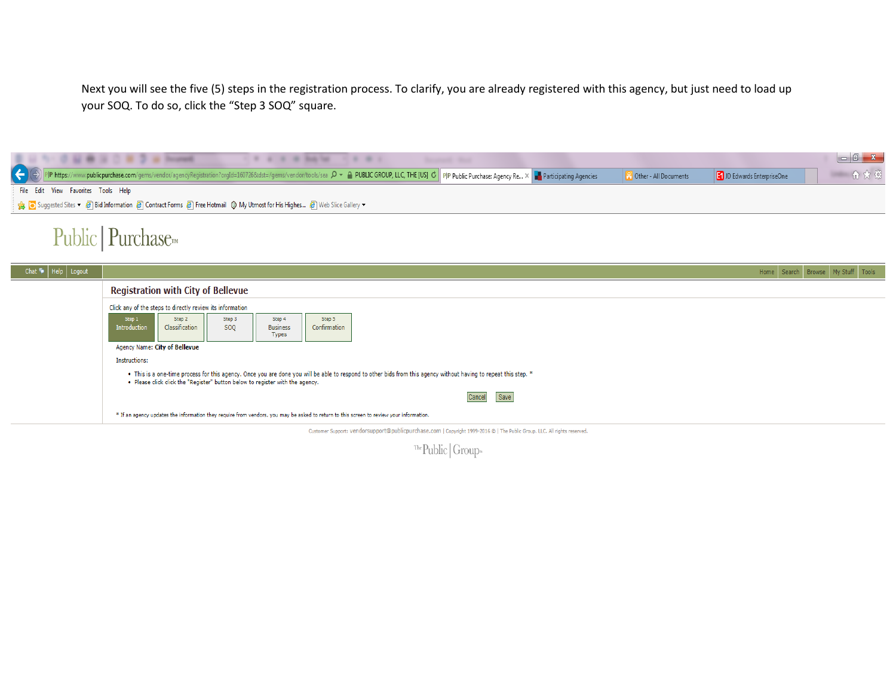Next you will see the five (5) steps in the registration process. To clarify, you are already registered with this agency, but just need to load up your SOQ. To do so, click the "Step 3 SOQ" square.

| C LL B IL C B 3 at Trustees                                                                                                                                                                                                                                            | $\begin{array}{c c c c c c} \hline \multicolumn{1}{ c }{\multicolumn{1}{c }{\multicolumn{1}{c }{\multicolumn{1}{c }{\multicolumn{1}{c}}}} & \multicolumn{1}{c }{\multicolumn{1}{c }{\multicolumn{1}{c }{\multicolumn{1}{c}}}} & \multicolumn{1}{c }{\multicolumn{1}{c }{\multicolumn{1}{c }{\multicolumn{1}{c }{\multicolumn{1}{c}}}} & \multicolumn{1}{c }{\multicolumn{1}{c }{\multicolumn{1}{c }{\multicolumn{1}{c }{\multicolumn{1}{c }{\multicolumn{1$ |
|------------------------------------------------------------------------------------------------------------------------------------------------------------------------------------------------------------------------------------------------------------------------|-------------------------------------------------------------------------------------------------------------------------------------------------------------------------------------------------------------------------------------------------------------------------------------------------------------------------------------------------------------------------------------------------------------------------------------------------------------|
| ww.publicpurchase.com/gems/vendor/agencyRegistration?orgId=160726&dst=/gems/vendor/tools/sea $\mathcal{Q}$ + A PUBLIC GROUP, LLC, THE [US] C PP Public Purchase: Agency Re X FR Participating Agencies<br>D Edwards EnterpriseOne<br><b>Controller</b> - All Documents | 价太多                                                                                                                                                                                                                                                                                                                                                                                                                                                         |
| File Edit View Favorites Tools Help                                                                                                                                                                                                                                    |                                                                                                                                                                                                                                                                                                                                                                                                                                                             |
| Suggested Sites v <sup>2</sup> Bid Information <sup>2</sup> Contract Forms <sup>2</sup> Free Hotmail (0 My Utmost for His Highes <sup>2</sup> Web Slice Gallery v                                                                                                      |                                                                                                                                                                                                                                                                                                                                                                                                                                                             |
|                                                                                                                                                                                                                                                                        |                                                                                                                                                                                                                                                                                                                                                                                                                                                             |

## Public | Purchase

| Chat • Help Logout |                                                                                                                                                                                                                                                   |                               |               |                                           |                        | Home Search Browse My Stuff Tools                                                                                                       |  |  |
|--------------------|---------------------------------------------------------------------------------------------------------------------------------------------------------------------------------------------------------------------------------------------------|-------------------------------|---------------|-------------------------------------------|------------------------|-----------------------------------------------------------------------------------------------------------------------------------------|--|--|
|                    | <b>Registration with City of Bellevue</b>                                                                                                                                                                                                         |                               |               |                                           |                        |                                                                                                                                         |  |  |
|                    | Click any of the steps to directly review its information                                                                                                                                                                                         |                               |               |                                           |                        |                                                                                                                                         |  |  |
|                    | Step 1<br>Introduction                                                                                                                                                                                                                            | Step 2<br>Classification      | Step 3<br>SOQ | Step 4<br><b>Business</b><br><b>Types</b> | Step 5<br>Confirmation |                                                                                                                                         |  |  |
|                    |                                                                                                                                                                                                                                                   | Agency Name: City of Bellevue |               |                                           |                        |                                                                                                                                         |  |  |
|                    | Instructions:                                                                                                                                                                                                                                     |                               |               |                                           |                        |                                                                                                                                         |  |  |
|                    | . This is a one-time process for this agency. Once you are done you will be able to respond to other bids from this agency without having to repeat this step. *<br>. Please click click the "Register" button below to register with the agency. |                               |               |                                           |                        |                                                                                                                                         |  |  |
|                    |                                                                                                                                                                                                                                                   |                               |               |                                           |                        | Save<br>Cancel                                                                                                                          |  |  |
|                    |                                                                                                                                                                                                                                                   |                               |               |                                           |                        | * If an agency updates the information they require from vendors, you may be asked to return to this screen to review your information. |  |  |
|                    |                                                                                                                                                                                                                                                   |                               |               |                                           |                        | Customer Support: Vendorsupport@publicpurchase.com   Copyright 1999-2016 @   The Public Group, LLC. All rights reserved.                |  |  |

 $\sqrt[116]{\cdot}$  Public Group<br/>»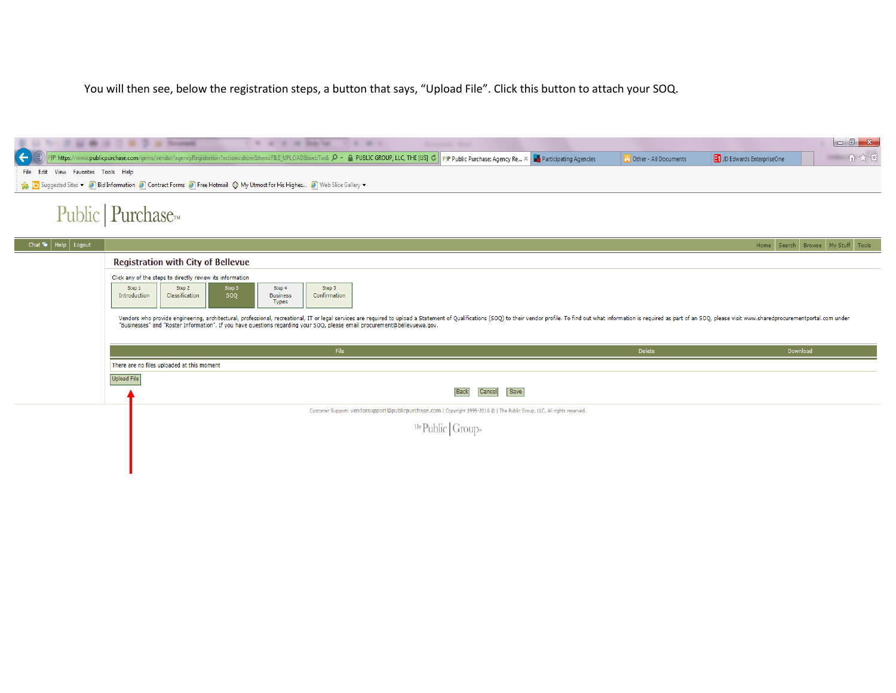You will then see, below the registration steps, a button that says, "Upload File". Click this button to attach your SOQ.

|                                                                                                                                                                | I W W W W Bakter<br>.<br><b>Second Real</b><br>publicpurchase.com/gems/vendor/agencyRegistration?action=show&hen=FILE_UPLOAD&webTxnIc P v A PUBLIC GROUP, LLC, THE [US] C PP Public Purchase: Agency Re X<br><b>Participating Agencies</b>                                                                                                                                                                                                                                                                                                                            | <b>C</b> Other - All Documents | JD Edwards EnterpriseOne | 命众德                               |  |  |  |  |  |
|----------------------------------------------------------------------------------------------------------------------------------------------------------------|-----------------------------------------------------------------------------------------------------------------------------------------------------------------------------------------------------------------------------------------------------------------------------------------------------------------------------------------------------------------------------------------------------------------------------------------------------------------------------------------------------------------------------------------------------------------------|--------------------------------|--------------------------|-----------------------------------|--|--|--|--|--|
| View Favorites Tools Help<br>File Edit<br>Suggested Sites v 8 Bid Information 8 Contract Forms 8 Free Hotmail 1 My Utmost for His Highes 8 Web Slice Gallery v |                                                                                                                                                                                                                                                                                                                                                                                                                                                                                                                                                                       |                                |                          |                                   |  |  |  |  |  |
|                                                                                                                                                                | Public   Purchase <sub>m</sub>                                                                                                                                                                                                                                                                                                                                                                                                                                                                                                                                        |                                |                          |                                   |  |  |  |  |  |
| Help   Logout<br>Chat <sup>to</sup>                                                                                                                            |                                                                                                                                                                                                                                                                                                                                                                                                                                                                                                                                                                       |                                |                          | Home Search Browse My Stuff Tools |  |  |  |  |  |
|                                                                                                                                                                | <b>Registration with City of Bellevue</b>                                                                                                                                                                                                                                                                                                                                                                                                                                                                                                                             |                                |                          |                                   |  |  |  |  |  |
|                                                                                                                                                                | Click any of the steps to directly review its information<br>Step 3<br>Step 2<br>Step 4<br>Step 5<br>Step 1<br>Classification<br>Confirmation<br>SOQ<br>Introduction<br><b>Business</b><br><b>Types</b><br>Vendors who provide engineering, architectural, professional, recreational, IT or legal services are required to upload a Statement of Qualifications (SOQ) to their vendor profile. To find out what information is required<br>"Businesses" and "Roster Information". If you have questions regarding your SOQ, please email procurement@bellevuewa.gov. |                                |                          |                                   |  |  |  |  |  |
|                                                                                                                                                                |                                                                                                                                                                                                                                                                                                                                                                                                                                                                                                                                                                       |                                |                          |                                   |  |  |  |  |  |
|                                                                                                                                                                | File                                                                                                                                                                                                                                                                                                                                                                                                                                                                                                                                                                  | Delete                         | Download                 |                                   |  |  |  |  |  |
|                                                                                                                                                                | There are no files uploaded at this moment                                                                                                                                                                                                                                                                                                                                                                                                                                                                                                                            |                                |                          |                                   |  |  |  |  |  |
|                                                                                                                                                                | Upload File                                                                                                                                                                                                                                                                                                                                                                                                                                                                                                                                                           |                                |                          |                                   |  |  |  |  |  |

Customer Support: Vendorsupport@publicpurchase.com | Copyright 1999-2016 © | The Public Group, LLC. All rights reserved.

**Back** 

Cancel

Save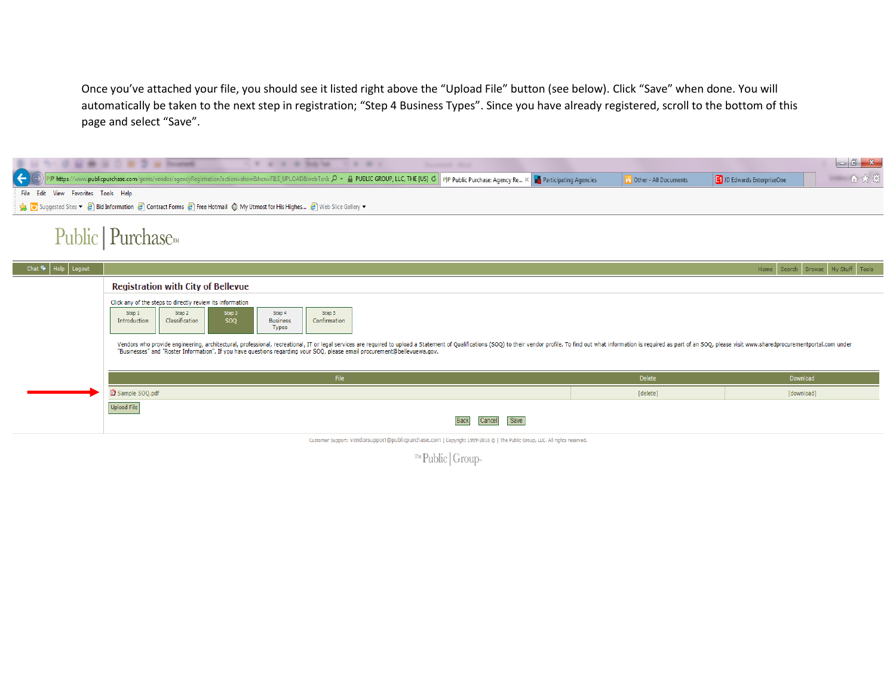Once you've attached your file, you should see it listed right above the "Upload File" button (see below). Click "Save" when done. You will automatically be taken to the next step in registration; "Step 4 Business Types". Since you have already registered, scroll to the bottom of this page and select "Save".

| 52 M 32 D W 2 W Promote<br>.<br><b>Security State</b>                                                                                                                                                                                                                                                                                                      |          |                                   |  |  |  |  |  |  |  |  |
|------------------------------------------------------------------------------------------------------------------------------------------------------------------------------------------------------------------------------------------------------------------------------------------------------------------------------------------------------------|----------|-----------------------------------|--|--|--|--|--|--|--|--|
| 命众德<br>$\leftarrow$<br>D Edwards EnterpriseOne<br><b>Community</b> Other - All Documents                                                                                                                                                                                                                                                                   |          |                                   |  |  |  |  |  |  |  |  |
| File Edit<br>View Favorites Tools Help                                                                                                                                                                                                                                                                                                                     |          |                                   |  |  |  |  |  |  |  |  |
| Suggested Sites v @ Bid Information @ Contract Forms @ Free Hotmail @ My Utmost for His Highes @ Web Slice Gallery v                                                                                                                                                                                                                                       |          |                                   |  |  |  |  |  |  |  |  |
| Public   Purchase <sub>™</sub>                                                                                                                                                                                                                                                                                                                             |          |                                   |  |  |  |  |  |  |  |  |
| $\text{Help}$ Logout<br>Chat $\bullet$                                                                                                                                                                                                                                                                                                                     |          | Home Search Browse My Stuff Tools |  |  |  |  |  |  |  |  |
| <b>Registration with City of Bellevue</b>                                                                                                                                                                                                                                                                                                                  |          |                                   |  |  |  |  |  |  |  |  |
| Click any of the steps to directly review its information                                                                                                                                                                                                                                                                                                  |          |                                   |  |  |  |  |  |  |  |  |
| Step 2<br>Step 3<br>Step 1<br>Step 4<br>Step 5<br>Classification<br>Confirmation<br>SOQ<br>Introduction<br><b>Business</b><br>Types                                                                                                                                                                                                                        |          |                                   |  |  |  |  |  |  |  |  |
| Vendors who provide engineering, architectural, professional, recreational, IT or legal services are required to upload a Statement of Qualifications (SOQ) to their vendor profile. To find out what information is required<br>"Businesses" and "Roster Information". If you have questions regarding your SOQ, please email procurement@bellevuewa.gov. |          |                                   |  |  |  |  |  |  |  |  |
| File                                                                                                                                                                                                                                                                                                                                                       | Delete   | Download                          |  |  |  |  |  |  |  |  |
| Sample SOQ.pdf                                                                                                                                                                                                                                                                                                                                             | [delete] | [download]                        |  |  |  |  |  |  |  |  |
| Upload File<br>Save<br><b>Back</b><br>Cancel                                                                                                                                                                                                                                                                                                               |          |                                   |  |  |  |  |  |  |  |  |
| Customer Support: vendorsupport@publicpurchase.com   Copyright 1999-2016 @   The Public Group, LLC. All rights reserved.                                                                                                                                                                                                                                   |          |                                   |  |  |  |  |  |  |  |  |